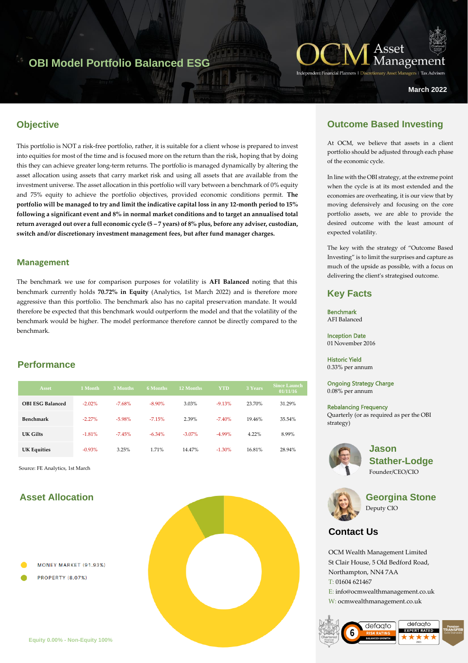# **OBI Model Portfolio Balanced ESG**



**March 2022**

# **Objective**

This portfolio is NOT a risk-free portfolio, rather, it is suitable for a client whose is prepared to invest into equities for most of the time and is focused more on the return than the risk, hoping that by doing this they can achieve greater long-term returns. The portfolio is managed dynamically by altering the asset allocation using assets that carry market risk and using all assets that are available from the investment universe. The asset allocation in this portfolio will vary between a benchmark of 0% equity and 75% equity to achieve the portfolio objectives, provided economic conditions permit. **The portfolio will be managed to try and limit the indicative capital loss in any 12-month period to 15% following a significant event and 8% in normal market conditions and to target an annualised total return averaged out over a full economic cycle (5 – 7 years) of 8% plus, before any adviser, custodian, switch and/or discretionary investment management fees, but after fund manager charges.**

### **Management**

The benchmark we use for comparison purposes for volatility is **AFI Balanced** noting that this benchmark currently holds **70.72% in Equity** (Analytics, 1st March 2022) and is therefore more aggressive than this portfolio. The benchmark also has no capital preservation mandate. It would therefore be expected that this benchmark would outperform the model and that the volatility of the benchmark would be higher. The model performance therefore cannot be directly compared to the benchmark.

## **Performance**

| <b>Asset</b>            | 1 Month   | 3 Months | <b>6 Months</b> | 12 Months | YTD      | 3 Years | <b>Since Launch</b><br>01/11/16 |
|-------------------------|-----------|----------|-----------------|-----------|----------|---------|---------------------------------|
| <b>OBI ESG Balanced</b> | $-2.02\%$ | $-7.68%$ | $-8.90\%$       | 3.03%     | $-9.13%$ | 23.70%  | 31.29%                          |
| <b>Benchmark</b>        | $-2.27\%$ | $-5.98%$ | $-7.15%$        | 2.39%     | $-7.40%$ | 19.46%  | 35.54%                          |
| UK Gilts                | $-1.81%$  | $-7.45%$ | $-6.34\%$       | $-3.07\%$ | $-4.99%$ | 4.22%   | 8.99%                           |
| <b>UK Equities</b>      | $-0.93%$  | 3.25%    | 1.71%           | 14.47%    | $-1.30%$ | 16.81%  | 28.94%                          |

Source: FE Analytics, 1st March

# **Asset Allocation**

- MONEY MARKET (91.93%)
- **PROPERTY (8.07%)**



# **Outcome Based Investing**

At OCM, we believe that assets in a client portfolio should be adjusted through each phase of the economic cycle.

In line with the OBI strategy, at the extreme point when the cycle is at its most extended and the economies are overheating, it is our view that by moving defensively and focusing on the core portfolio assets, we are able to provide the desired outcome with the least amount of expected volatility.

The key with the strategy of "Outcome Based Investing" is to limit the surprises and capture as much of the upside as possible, with a focus on delivering the client's strategised outcome.

## **Key Facts**

Benchmark AFI Balanced

Inception Date 01 November 2016

Historic Yield

0.33% per annum

Ongoing Strategy Charge 0.08% per annum

#### Rebalancing Frequency

Quarterly (or as required as per the OBI strategy)



**Jason Stather-Lodge** Founder/CEO/CIO



**Georgina Stone** Deputy CIO

# **Contact Us**

OCM Wealth Management Limited St Clair House, 5 Old Bedford Road, Northampton, NN4 7AA T: 01604 621467 E: info@ocmwealthmanagement.co.uk W: ocmwealthmanagement.co.uk